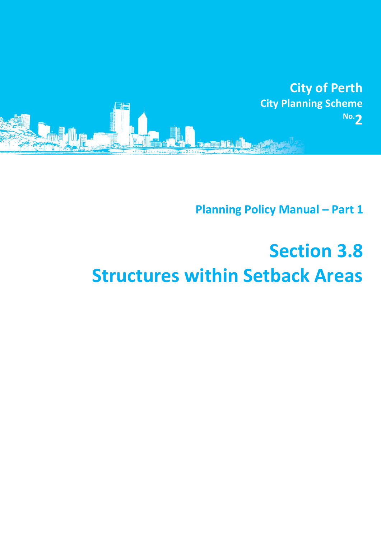

**Planning Policy Manual - Part 1** 

## **Section 3.8 Structures within Setback Areas**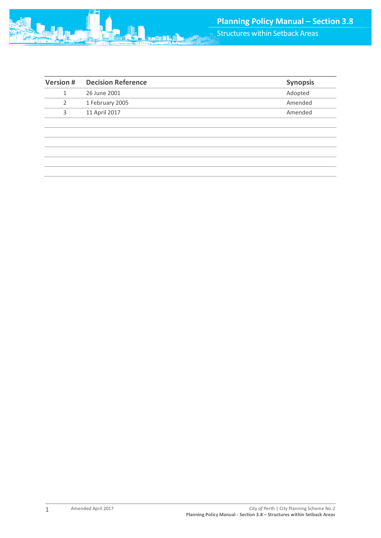| <b>Version #</b> | <b>Decision Reference</b> | <b>Synopsis</b> |
|------------------|---------------------------|-----------------|
|                  | 26 June 2001              | Adopted         |
|                  | 1 February 2005           | Amended         |
| 3                | 11 April 2017             | Amended         |
|                  |                           |                 |
|                  |                           |                 |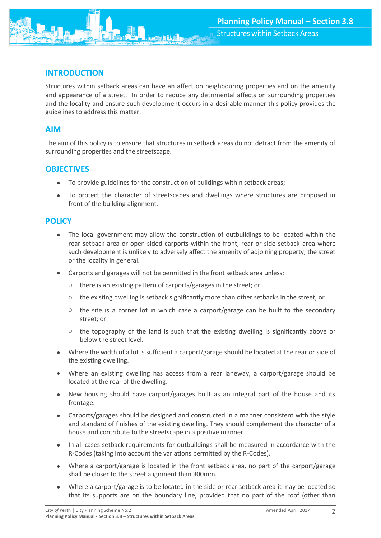

Structures within setback areas can have an affect on neighbouring properties and on the amenity and appearance of a street. In order to reduce any detrimental affects on surrounding properties and the locality and ensure such development occurs in a desirable manner this policy provides the guidelines to address this matter.

## **AIM**

The aim of this policy is to ensure that structures in setback areas do not detract from the amenity of surrounding properties and the streetscape.

## **OBJECTIVES**

- To provide guidelines for the construction of buildings within setback areas;
- To protect the character of streetscapes and dwellings where structures are proposed in front of the building alignment.

## **POLICY**

- The local government may allow the construction of outbuildings to be located within the rear setback area or open sided carports within the front, rear or side setback area where such development is unlikely to adversely affect the amenity of adjoining property, the street or the locality in general.
- Carports and garages will not be permitted in the front setback area unless:
	- o there is an existing pattern of carports/garages in the street; or
	- $\circ$  the existing dwelling is setback significantly more than other setbacks in the street; or
	- $\circ$  the site is a corner lot in which case a carport/garage can be built to the secondary street; or
	- $\circ$  the topography of the land is such that the existing dwelling is significantly above or below the street level.
- Where the width of a lot is sufficient a carport/garage should be located at the rear or side of the existing dwelling.
- Where an existing dwelling has access from a rear laneway, a carport/garage should be located at the rear of the dwelling.
- New housing should have carport/garages built as an integral part of the house and its frontage.
- Carports/garages should be designed and constructed in a manner consistent with the style and standard of finishes of the existing dwelling. They should complement the character of a house and contribute to the streetscape in a positive manner.
- In all cases setback requirements for outbuildings shall be measured in accordance with the R-Codes (taking into account the variations permitted by the R-Codes).
- Where a carport/garage is located in the front setback area, no part of the carport/garage shall be closer to the street alignment than 300mm.
- Where a carport/garage is to be located in the side or rear setback area it may be located so that its supports are on the boundary line, provided that no part of the roof (other than